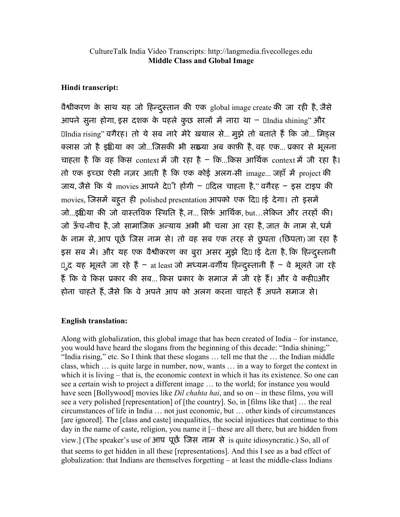## Hindi transcript:

वैश्वीकरण के साथ यह जो हिन्दुस्तान की एक global image create की जा रही है, जैसे आपने सुना होगा, इस दशक के पहले कुछ सालों में नारा था –  $\mathbb D$ India shining" और **India rising" वगैरह। तो ये सब नारे मेरे ख़याल से... मुझे तो बताते हैं कि जो... मिड़ल** क्लास जो है इंािया का जो...जिसकी भी संख्या अब काफ़ी है, वह एक... प्रकार से भूलना चाहता है कि वह किस context में जी रहा है – कि...किस आर्थिक context में जी रहा है। तो एक इच्छा ऐसी नज़र आती है कि एक कोई अलग-सी image... जहाँ में project की जाय, जैसे कि ये movies आपने दे $0$ ी होंगी –  $0$ दिल चाहता है," वगैरह – इस टाइप की movies, जिसमें बहूत ही polished presentation आपको एक दि<sup>0</sup> ाई देगा। तो इसमें जो...इंगिया की जो वास्तविक स्थिति है, न... सिर्फ़ आर्थिक, but...लेकिन और तरहों की। जो ऊँच-नीच है, जो सामाजिक अन्याय अभी भी चला आ रहा है, जात के नाम से, धर्म के नाम से, आप पूछें जिस नाम से। तो वह सब एक तरह से छुपता (छिपता) जा रहा है इस सब में। और यह एक वैश्वीकरण का बुरा असर मुझे दिए ाई देता है, कि हिन्दुस्तानी D\_द यह भूलते जा रहे हैं - at least जो मध्यम-वर्गीय हिन्दुस्तानी हैं - वे भूलते जा रहे हैं कि वे किस प्रकार की सब... किस प्रकार के समाज में जी रहे हैं। और वे कही⊔और होना चाहते हैं, जैसे कि वे अपने आप को अलग करना चाहते हैं अपने समाज से।

## English translation:

Along with globalization, this global image that has been created of India – for instance, you would have heard the slogans from the beginning of this decade: "India shining;" "India rising," etc. So I think that these slogans … tell me that the … the Indian middle class, which … is quite large in number, now, wants … in a way to forget the context in which it is living – that is, the economic context in which it has its existence. So one can see a certain wish to project a different image … to the world; for instance you would have seen [Bollywood] movies like *Dil chahta hai*, and so on – in these films, you will see a very polished [representation] of [the country]. So, in [films like that] … the real circumstances of life in India … not just economic, but … other kinds of circumstances [are ignored]. The [class and caste] inequalities, the social injustices that continue to this day in the name of caste, religion, you name it [– these are all there, but are hidden from view.] (The speaker's use of आप पूछ\$ िजस नाम से is quite idiosyncratic.) So, all of that seems to get hidden in all these [representations]. And this I see as a bad effect of globalization: that Indians are themselves forgetting – at least the middle-class Indians